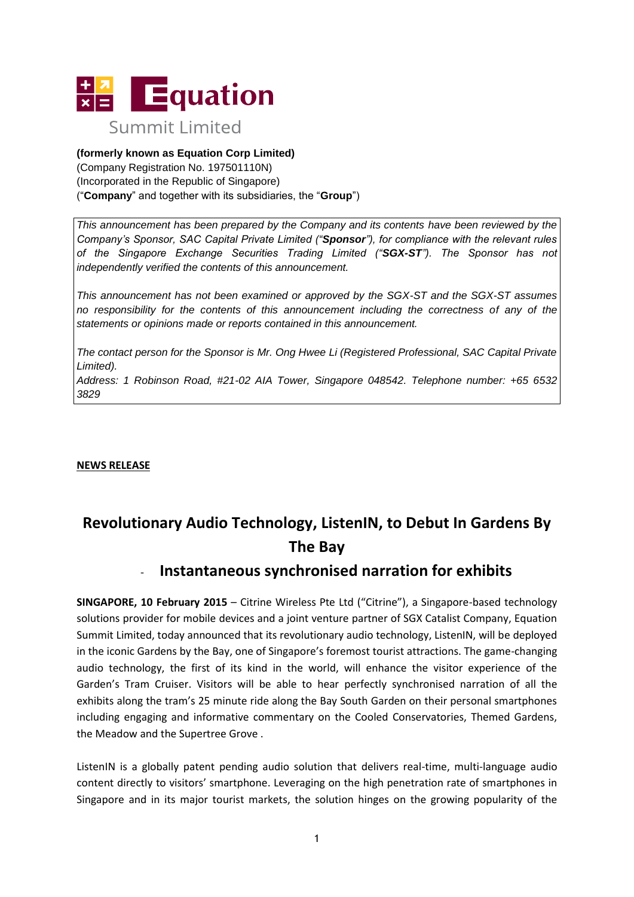

### **(formerly known as Equation Corp Limited)**

(Company Registration No. 197501110N) (Incorporated in the Republic of Singapore) ("**Company**" and together with its subsidiaries, the "**Group**")

*This announcement has been prepared by the Company and its contents have been reviewed by the Company's Sponsor, SAC Capital Private Limited ("Sponsor"), for compliance with the relevant rules of the Singapore Exchange Securities Trading Limited ("SGX-ST"). The Sponsor has not independently verified the contents of this announcement.* 

*This announcement has not been examined or approved by the SGX-ST and the SGX-ST assumes no responsibility for the contents of this announcement including the correctness of any of the statements or opinions made or reports contained in this announcement.* 

*The contact person for the Sponsor is Mr. Ong Hwee Li (Registered Professional, SAC Capital Private Limited).*

*Address: 1 Robinson Road, #21-02 AIA Tower, Singapore 048542. Telephone number: +65 6532 3829*

**NEWS RELEASE**

# **Revolutionary Audio Technology, ListenIN, to Debut In Gardens By The Bay**

## - **Instantaneous synchronised narration for exhibits**

**SINGAPORE, 10 February 2015** – Citrine Wireless Pte Ltd ("Citrine"), a Singapore-based technology solutions provider for mobile devices and a joint venture partner of SGX Catalist Company, Equation Summit Limited, today announced that its revolutionary audio technology, ListenIN, will be deployed in the iconic Gardens by the Bay, one of Singapore's foremost tourist attractions. The game-changing audio technology, the first of its kind in the world, will enhance the visitor experience of the Garden's Tram Cruiser. Visitors will be able to hear perfectly synchronised narration of all the exhibits along the tram's 25 minute ride along the Bay South Garden on their personal smartphones including engaging and informative commentary on the Cooled Conservatories, Themed Gardens, the Meadow and the Supertree Grove .

ListenIN is a globally patent pending audio solution that delivers real-time, multi-language audio content directly to visitors' smartphone. Leveraging on the high penetration rate of smartphones in Singapore and in its major tourist markets, the solution hinges on the growing popularity of the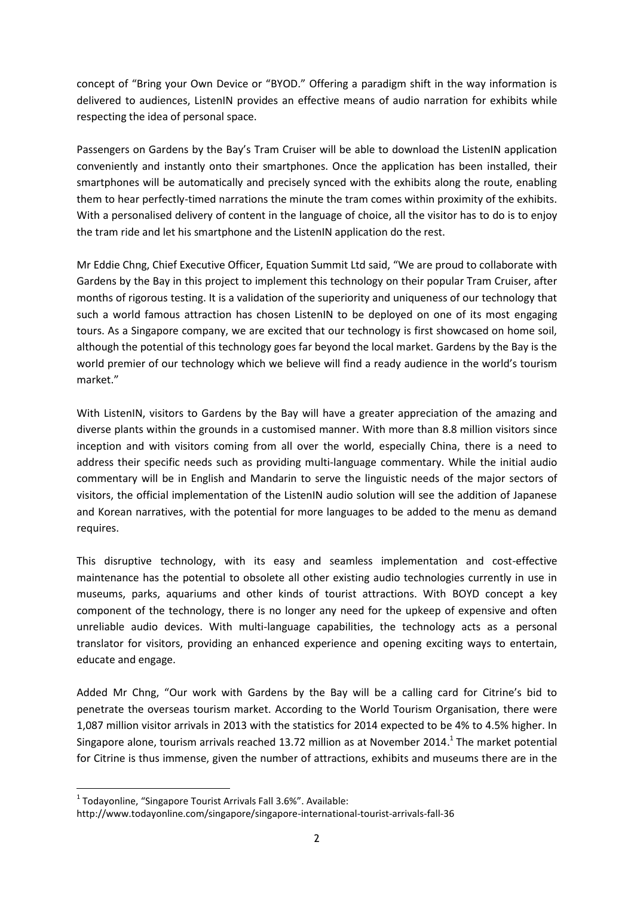concept of "Bring your Own Device or "BYOD." Offering a paradigm shift in the way information is delivered to audiences, ListenIN provides an effective means of audio narration for exhibits while respecting the idea of personal space.

Passengers on Gardens by the Bay's Tram Cruiser will be able to download the ListenIN application conveniently and instantly onto their smartphones. Once the application has been installed, their smartphones will be automatically and precisely synced with the exhibits along the route, enabling them to hear perfectly-timed narrations the minute the tram comes within proximity of the exhibits. With a personalised delivery of content in the language of choice, all the visitor has to do is to enjoy the tram ride and let his smartphone and the ListenIN application do the rest.

Mr Eddie Chng, Chief Executive Officer, Equation Summit Ltd said, "We are proud to collaborate with Gardens by the Bay in this project to implement this technology on their popular Tram Cruiser, after months of rigorous testing. It is a validation of the superiority and uniqueness of our technology that such a world famous attraction has chosen ListenIN to be deployed on one of its most engaging tours. As a Singapore company, we are excited that our technology is first showcased on home soil, although the potential of this technology goes far beyond the local market. Gardens by the Bay is the world premier of our technology which we believe will find a ready audience in the world's tourism market."

With ListenIN, visitors to Gardens by the Bay will have a greater appreciation of the amazing and diverse plants within the grounds in a customised manner. With more than 8.8 million visitors since inception and with visitors coming from all over the world, especially China, there is a need to address their specific needs such as providing multi-language commentary. While the initial audio commentary will be in English and Mandarin to serve the linguistic needs of the major sectors of visitors, the official implementation of the ListenIN audio solution will see the addition of Japanese and Korean narratives, with the potential for more languages to be added to the menu as demand requires.

This disruptive technology, with its easy and seamless implementation and cost-effective maintenance has the potential to obsolete all other existing audio technologies currently in use in museums, parks, aquariums and other kinds of tourist attractions. With BOYD concept a key component of the technology, there is no longer any need for the upkeep of expensive and often unreliable audio devices. With multi-language capabilities, the technology acts as a personal translator for visitors, providing an enhanced experience and opening exciting ways to entertain, educate and engage.

Added Mr Chng, "Our work with Gardens by the Bay will be a calling card for Citrine's bid to penetrate the overseas tourism market. According to the World Tourism Organisation, there were 1,087 million visitor arrivals in 2013 with the statistics for 2014 expected to be 4% to 4.5% higher. In Singapore alone, tourism arrivals reached 13.72 million as at November 2014.<sup>1</sup> The market potential for Citrine is thus immense, given the number of attractions, exhibits and museums there are in the

**.** 

 $<sup>1</sup>$  Todayonline, "Singapore Tourist Arrivals Fall 3.6%". Available:</sup>

http://www.todayonline.com/singapore/singapore-international-tourist-arrivals-fall-36